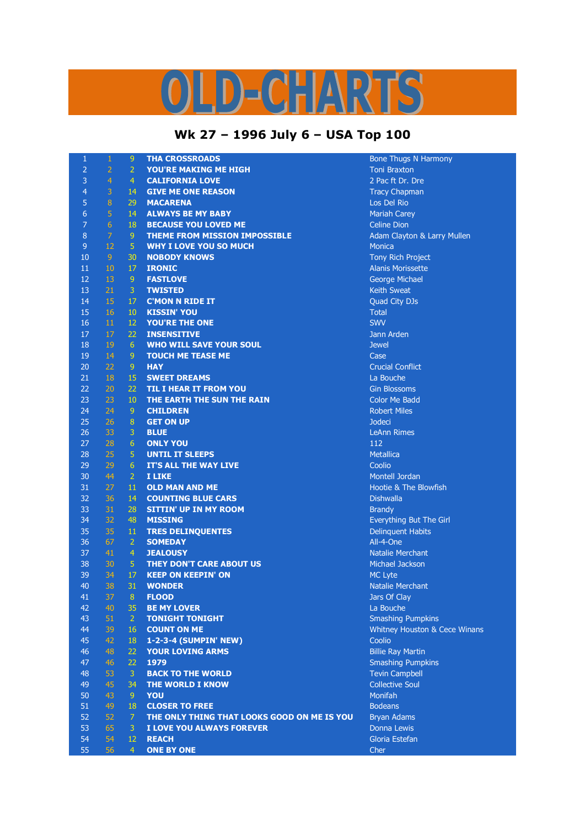## LD-CHARTS

## **Wk 27 – 1996 July 6 – USA Top 100**

| $\mathbf{1}$   | $\mathbf{1}$   | $\overline{9}$                   | <b>THA CROSSROADS</b>                              | <b>Bone Thugs N Harmony</b>          |
|----------------|----------------|----------------------------------|----------------------------------------------------|--------------------------------------|
| $\overline{2}$ | $\overline{2}$ | $\overline{2}$                   | <b>YOU'RE MAKING ME HIGH</b>                       | <b>Toni Braxton</b>                  |
| 3              | $\overline{4}$ | $\overline{4}$                   | <b>CALIFORNIA LOVE</b>                             | 2 Pac ft Dr. Dre                     |
| $\overline{4}$ | 3              | 14                               | <b>GIVE ME ONE REASON</b>                          | <b>Tracy Chapman</b>                 |
| 5              | $\bf 8$        | 29                               | <b>MACARENA</b>                                    | Los Del Rio                          |
| 6              | $\overline{5}$ | 14                               | <b>ALWAYS BE MY BABY</b>                           | <b>Mariah Carey</b>                  |
| $\overline{7}$ | 6              | 18                               | <b>BECAUSE YOU LOVED ME</b>                        | <b>Celine Dion</b>                   |
| 8              | $\overline{7}$ | $\mathsf 9$                      | <b>THEME FROM MISSION IMPOSSIBLE</b>               | Adam Clayton & Larry Mullen          |
| $\overline{9}$ | 12             | $\overline{5}$                   | <b>WHY I LOVE YOU SO MUCH</b>                      | <b>Monica</b>                        |
| 10             | $\overline{9}$ | 30                               | <b>NOBODY KNOWS</b>                                | Tony Rich Project                    |
| 11             | 10             | 17                               | <b>IRONIC</b>                                      | <b>Alanis Morissette</b>             |
| 12             | 13             | $\overline{9}$                   | <b>FASTLOVE</b>                                    | George Michael                       |
| 13             | 21             | 3                                | <b>TWISTED</b>                                     | <b>Keith Sweat</b>                   |
| 14             | 15             | 17                               | <b>C'MON N RIDE IT</b>                             | Quad City DJs                        |
| 15             | 16             | 10                               | <b>KISSIN' YOU</b>                                 | <b>Total</b>                         |
| 16             | 11             | 12                               | <b>YOU'RE THE ONE</b>                              | <b>SWV</b>                           |
| 17             | 17             | 22                               | <b>INSENSITIVE</b>                                 | Jann Arden                           |
| 18             | 19             | $6\phantom{1}6$                  | <b>WHO WILL SAVE YOUR SOUL</b>                     | <b>Jewel</b>                         |
| 19             | 14             | 9                                | <b>TOUCH ME TEASE ME</b>                           | Case                                 |
| 20             | 22             | $\overline{9}$                   | <b>HAY</b>                                         | <b>Crucial Conflict</b>              |
| 21             | 18             | 15                               | <b>SWEET DREAMS</b>                                | La Bouche                            |
| 22             | 20             | 22                               | <b>TIL I HEAR IT FROM YOU</b>                      | <b>Gin Blossoms</b>                  |
| 23             | 23             | 10                               | THE EARTH THE SUN THE RAIN                         | <b>Color Me Badd</b>                 |
| 24             | 24             | 9                                | <b>CHILDREN</b>                                    | <b>Robert Miles</b>                  |
| 25             | 26             | $\bf 8$                          | <b>GET ON UP</b>                                   | <b>Jodeci</b>                        |
| 26             | 33             | 3                                | <b>BLUE</b>                                        | <b>LeAnn Rimes</b>                   |
| 27             | 28             | $6\phantom{1}6$                  | <b>ONLY YOU</b>                                    | 112                                  |
| 28             | 25             | 5                                | <b>UNTIL IT SLEEPS</b>                             | <b>Metallica</b>                     |
| 29             | 29             | $6\phantom{1}6$                  | IT'S ALL THE WAY LIVE                              | Coolio                               |
| 30             | 44             | $\overline{2}$                   | I LIKE                                             | Montell Jordan                       |
| 31             | 27             | 11                               | <b>OLD MAN AND ME</b>                              | Hootie & The Blowfish                |
| 32             | 36             | 14                               | <b>COUNTING BLUE CARS</b>                          | <b>Dishwalla</b>                     |
| 33             | 31             | 28                               | <b>SITTIN' UP IN MY ROOM</b>                       | <b>Brandy</b>                        |
| 34             | 32             | 48                               | <b>MISSING</b>                                     | Everything But The Girl              |
| 35             | 35             | 11                               | <b>TRES DELINQUENTES</b>                           | <b>Delinquent Habits</b>             |
| 36<br>37       | 67<br>41       | $\overline{2}$<br>$\overline{4}$ | <b>SOMEDAY</b>                                     | All-4-One<br><b>Natalie Merchant</b> |
| 38             | 30             | $\overline{5}$                   | <b>JEALOUSY</b><br><b>THEY DON'T CARE ABOUT US</b> | Michael Jackson                      |
| 39             | 34             | 17                               | <b>KEEP ON KEEPIN' ON</b>                          | <b>MC Lyte</b>                       |
| 40             | 38             | 31                               | <b>WONDER</b>                                      | <b>Natalie Merchant</b>              |
| 41             | 37             | $\boldsymbol{8}$                 | <b>FLOOD</b>                                       | Jars Of Clay                         |
| 42             | 40             | 35                               | <b>BE MY LOVER</b>                                 | La Bouche                            |
| 43             | 51             | $\overline{2}$                   | <b>TONIGHT TONIGHT</b>                             | <b>Smashing Pumpkins</b>             |
| 44             | 39             | 16                               | <b>COUNT ON ME</b>                                 | Whitney Houston & Cece Winans        |
| 45             | 42             | 18                               | 1-2-3-4 (SUMPIN' NEW)                              | Coolio                               |
| 46             | 48             | 22                               | <b>YOUR LOVING ARMS</b>                            | <b>Billie Ray Martin</b>             |
| 47             | 46             | 22                               | 1979                                               | <b>Smashing Pumpkins</b>             |
| 48             | 53             | 3                                | <b>BACK TO THE WORLD</b>                           | <b>Tevin Campbell</b>                |
| 49             | 45             | 34                               | THE WORLD I KNOW                                   | <b>Collective Soul</b>               |
| 50             | 43             | $\overline{9}$                   | YOU                                                | Monifah                              |
| 51             | 49             | 18                               | <b>CLOSER TO FREE</b>                              | <b>Bodeans</b>                       |
| 52             | 52             | $\overline{7}$                   | THE ONLY THING THAT LOOKS GOOD ON ME IS YOU        | <b>Bryan Adams</b>                   |
| 53             | 65             | $\overline{3}$                   | I LOVE YOU ALWAYS FOREVER                          | Donna Lewis                          |
| 54             | 54             | 12                               | <b>REACH</b>                                       | Gloria Estefan                       |
| 55             | 56             | $\overline{4}$                   | <b>ONE BY ONE</b>                                  | Cher                                 |